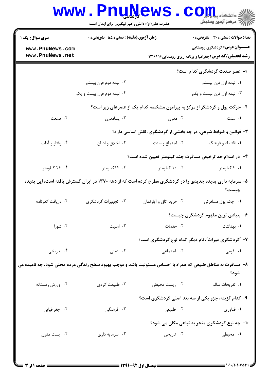|                                                                                                            | <b>www.PnuNews</b><br>حضرت علی(ع): دانش راهبر نیکویی برای ایمان است      |                         | ≦ دانشکاه پ <b>یا یا با<mark>ر</mark></b><br>أأأ مركز آزمون وسنجش                                                  |  |  |
|------------------------------------------------------------------------------------------------------------|--------------------------------------------------------------------------|-------------------------|--------------------------------------------------------------------------------------------------------------------|--|--|
| <b>سری سوال :</b> یک ۱                                                                                     | زمان آزمون (دقیقه) : تستی : 55 آتشریحی : 0                               |                         | <b>تعداد سوالات : تستی : 30 ٪ تشریحی : 0</b>                                                                       |  |  |
| www.PnuNews.com<br>www.PnuNews.net                                                                         |                                                                          |                         | <b>عنـــوان درس:</b> گردشگری روستایی<br><b>رشته تحصیلی/کد درس:</b> جغرافیا و برنامه ریزی روستایی ۱۲۱۶۴۱۶           |  |  |
|                                                                                                            |                                                                          |                         | ۱– عصر صنعت گردشگری کدام است؟                                                                                      |  |  |
|                                                                                                            | ۰۲ نیمه دوم قرن بیستم                                                    |                         | ۰۱ نیمه اول قرن بیستم                                                                                              |  |  |
|                                                                                                            | ۰۴ نیمه دوم قرن بیست و یکم                                               |                         | ۰۳ نیمه اول قرن بیست و یکم                                                                                         |  |  |
|                                                                                                            | ۲- حرکت پول و گردشگر از مرکز به پیرامون مشخصه کدام یک از عصرهای زیر است؟ |                         |                                                                                                                    |  |  |
| ۰۴ صنعت                                                                                                    | ۰۳ پسامدرن                                                               | ۰۲ مدرن                 | ۰۱ سنت                                                                                                             |  |  |
|                                                                                                            |                                                                          |                         | 4- قوانین و ضوابط شرعی، در چه بخشی از گردشگری، نقش اساسی دارد؟                                                     |  |  |
| ۰۴ رفتار و آداب                                                                                            | ۰۳ اخلاق و اديان                                                         | ۰۲ اجتماع و سنت         | ۰۱ اقتصاد و فرهنگ                                                                                                  |  |  |
|                                                                                                            |                                                                          |                         | ۴– در اسلام حد ترخیص مسافرت چند کیلومتر تعیین شده است؟                                                             |  |  |
| ۰۴ کیلومتر                                                                                                 | ۰۳ کیلومتر                                                               | ۰۰ ۲ کیلومتر            | ۰۱ ۴ کیلومتر                                                                                                       |  |  |
|                                                                                                            |                                                                          |                         | ۵– سرمایه داری پدیده جدیدی را در گردشگری مطرح کرده است که از دهه ۱۳۷۰ در ایران گسترش یافته است، این پدیده<br>چيست؟ |  |  |
| ۰۴ دریافت گذرنامه                                                                                          | ۰۳ تجهیزات گردشگری                                                       | ۰۲ خرید اتاق و آپارتمان | ٠١ چک پول مسافرتی                                                                                                  |  |  |
|                                                                                                            |                                                                          |                         | ۶- بنیادی ترین مفهوم گردشگری چیست؟                                                                                 |  |  |
| ۰۴ شورا                                                                                                    | ۰۳ امنیت                                                                 | ٠٢ خدمات                | ۰۱ بهداشت                                                                                                          |  |  |
|                                                                                                            |                                                                          |                         | ۷- ″گردشگری میراث″، نام دیگر کدام نوع گردشگری است؟                                                                 |  |  |
| ۰۴ تاریخی                                                                                                  | ۰۳ دینی $\cdot$                                                          | ۰۲ اجتماعی              | ۰۱ قومی                                                                                                            |  |  |
| ۸– مسافرت به مناطق طبیعی که همراه با احساس مسئولیت باشد و موجب بهبود سطح زندگی مردم محلی شود، چه نامیده می |                                                                          |                         |                                                                                                                    |  |  |
|                                                                                                            |                                                                          |                         | شود؟                                                                                                               |  |  |
| ۰۴ ورزش زمستانه                                                                                            | ۰۳ طبیعت گردي                                                            | ۰۲ زیست محیطی           | ۰۱ تفریحات سالم                                                                                                    |  |  |
|                                                                                                            |                                                                          |                         | ۹- کدام گزینه، جزو یکی از سه بعد اصلی گردشگری است؟                                                                 |  |  |
| ۰۴ جغرافیایی                                                                                               | ۰۳ فرهنگی                                                                | ۰۲ طبیعی                | ۰۱ فنآوری                                                                                                          |  |  |
|                                                                                                            |                                                                          |                         | ۱۰- چه نوع گردشگری منجر به تباهی مکان می شود؟                                                                      |  |  |
| ۰۴ پست مدرن                                                                                                | ۰۳ سرمايه داري                                                           | ۰۲ تاریخی               | ۱. محیطی                                                                                                           |  |  |
|                                                                                                            |                                                                          |                         |                                                                                                                    |  |  |
|                                                                                                            |                                                                          |                         |                                                                                                                    |  |  |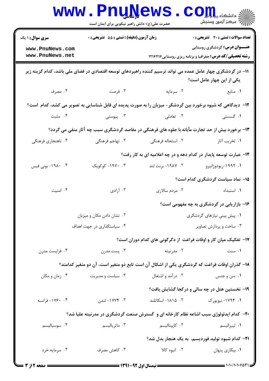|                                                                                                                                          | <b>WWW.PNUNEWS</b><br>حضرت علی(ع): دانش راهبر نیکویی برای ایمان است |                                                                                             | COIL A<br>رآ - مرڪز آزمون وسنڊش                                                                         |  |  |
|------------------------------------------------------------------------------------------------------------------------------------------|---------------------------------------------------------------------|---------------------------------------------------------------------------------------------|---------------------------------------------------------------------------------------------------------|--|--|
| <b>سری سوال : ۱ یک</b>                                                                                                                   |                                                                     | <b>تعداد سوالات : تستی : 30 ٪ تشریحی : 0</b><br>زمان آزمون (دقیقه) : تستی : 55 ٪ تشریحی : 0 |                                                                                                         |  |  |
| www.PnuNews.com<br>www.PnuNews.net                                                                                                       |                                                                     |                                                                                             | <b>عنـــوان درس:</b> گردشگری روستایی<br><b>رشته تحصیلی/کد درس:</b> جغرافیا و برنامه ریزی روستایی1۲۱۶۴۱۶ |  |  |
| 1۱– در گردشگری چهار عامل عمده می تواند ترسیم کننده راهبردهای توسعه اقتصادی در فضای ملی باشد، کدام گزینه زیر<br>یکی از این چهار عامل است؟ |                                                                     |                                                                                             |                                                                                                         |  |  |
| ۰۴ مصرف                                                                                                                                  | ۰۳ فرصت                                                             | ۰۲ سرمایه                                                                                   | ۰۱ منابع                                                                                                |  |  |
| ۱۲- دیدگاهی که شیوه برخورد بین گردشگر- میزبان را به صورت پدیده ای قابل شناسایی به تصویر می کشد، کدام است؟                                |                                                                     |                                                                                             |                                                                                                         |  |  |
| ۰۴ مثبت                                                                                                                                  | ۰۳ پیوستی                                                           | ۲. تعاملی                                                                                   | ۰۱ گسستی                                                                                                |  |  |
| ۱۳- برخورد بیش از حد تجارت مآبانه با جلوه های فرهنگی در مقاصد گردشگری سبب چه آثار منفی می گردد؟                                          |                                                                     |                                                                                             |                                                                                                         |  |  |
| ۰۴ ناهنجاری فرهنگی                                                                                                                       | ۰۳ تهاجم فرهنگی                                                     | ۰۲ استحاله فرهنگی                                                                           | ۰۱ تخریب آثار                                                                                           |  |  |
|                                                                                                                                          |                                                                     |                                                                                             | ۱۴- عبارت توسعه پایدار در کدام دهه و در چه اعلامیه ای به کار رفت؟                                       |  |  |
| ۰۴ - ۱۹۸۰- بونی فیس                                                                                                                      | ۰۳ - ۱۹۷۰– کوکویک                                                   | ۰۲ - ۱۹۸۷- برنت لند                                                                         | ۰۱. ۱۹۹۲–ریودوژانیرو                                                                                    |  |  |
|                                                                                                                                          |                                                                     |                                                                                             | ۱۵– نماد سیاست گردشگری کدام است؟                                                                        |  |  |
| ۰۴ امنیت                                                                                                                                 | ۰۳ آزادی                                                            | ۰۲ مردم سالاری                                                                              | ٠١. استبداد                                                                                             |  |  |
|                                                                                                                                          |                                                                     |                                                                                             | ۱۶- بازاریابی در گردشگری به چه مفهومی است؟                                                              |  |  |
|                                                                                                                                          | ۰۲ نشان دادن مکان و میزبان                                          | ۰۱ پیش بینی نیازهای گردشگری                                                                 |                                                                                                         |  |  |
|                                                                                                                                          | ۰۴ سیاستگذاری در جهت اهداف                                          | ۰۳ ساخت و پردازش تصاویر                                                                     |                                                                                                         |  |  |
|                                                                                                                                          |                                                                     |                                                                                             | ۱۷– تفکیک میان کار و اوقات فراغت از دگرگونی های کدام دوران است؟                                         |  |  |
| ۰۴ فراپست مدرن                                                                                                                           | ۰۳ پست مدرن                                                         | ۰۲ مدرنیته                                                                                  | ۰۱ سنت                                                                                                  |  |  |
| ۱۸– گذران اوقات فراغت که گردشگری یکی از اشکال آن است تابع دو متغیر است، آن دو متغیر کدامند؟                                              |                                                                     |                                                                                             |                                                                                                         |  |  |
| ۰۴ زمان و مکان                                                                                                                           | ۰۳ سیاست و مدیریت                                                   | ۰۲ درآمد و اشتغال                                                                           | ۰۱ سن و جنس                                                                                             |  |  |
|                                                                                                                                          |                                                                     |                                                                                             | ۱۹- نخستین هتل در چه سالی و درکجا گشایش یافت؟                                                           |  |  |
| ۰۴ - ۱۷۶۰- فرانسه                                                                                                                        | ۰۳ - ۱۷۷۴– لندن                                                     | ٠٢ ١٨١٥- اسكاتلند                                                                           | ۰۱. ۱۷۹۴– نیویورک                                                                                       |  |  |
| <b>۰۲</b> - کدام ایدئولوژی سبب اشاعه نظام کارخانه ای و گسترش صنعت گردشگری در مدرنیته علیا شد؟                                            |                                                                     |                                                                                             |                                                                                                         |  |  |
| ۰۴ سوسیالیسم                                                                                                                             | ۰۳ ماترياليسم                                                       | ۰۲ کاپیتالیسم                                                                               | ۰۱ ليبراليسم                                                                                            |  |  |
| <b>۲۱</b> - کدام شیوه تولید فوردیسم، به یک هنجار بدل شد؟                                                                                 |                                                                     |                                                                                             |                                                                                                         |  |  |
| ۰۴ سرمايه خرد                                                                                                                            | ۰۳ کاهش مصرف                                                        | ۰۲ انبوه کالا                                                                               | ۰۱ بیکاری پنهان                                                                                         |  |  |